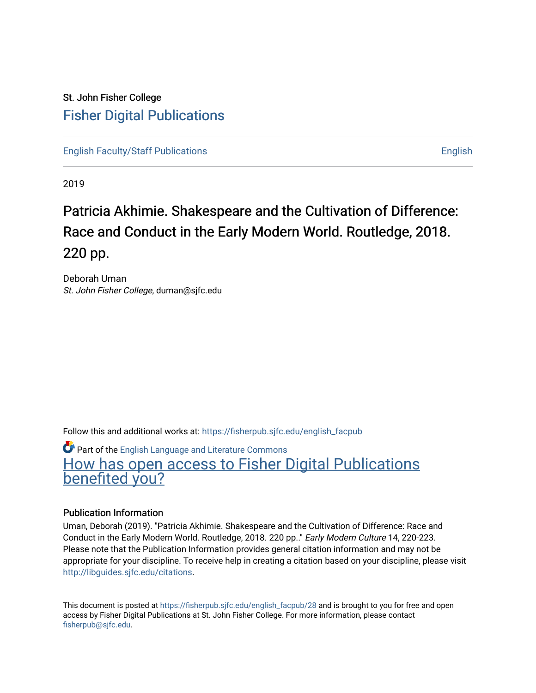# St. John Fisher College [Fisher Digital Publications](https://fisherpub.sjfc.edu/)

[English Faculty/Staff Publications](https://fisherpub.sjfc.edu/english_facpub) **English** English

2019

# Patricia Akhimie. Shake speare and the Cultivation of Difference: Race and Conduct in the Early Modern World. Routledge, 2018. 220 pp.

Deborah Uman St. John Fisher College, duman@sjfc.edu

Follow this and additional works at: [https://fisherpub.sjfc.edu/english\\_facpub](https://fisherpub.sjfc.edu/english_facpub?utm_source=fisherpub.sjfc.edu%2Fenglish_facpub%2F28&utm_medium=PDF&utm_campaign=PDFCoverPages)

**Part of the [English Language and Literature Commons](http://network.bepress.com/hgg/discipline/455?utm_source=fisherpub.sjfc.edu%2Fenglish_facpub%2F28&utm_medium=PDF&utm_campaign=PDFCoverPages)** [How has open access to Fisher Digital Publications](https://docs.google.com/forms/d/14zrnDfH9d1wcdq8oG_-gFabAsxfcH5claltx85ZWyTg/viewform?entry.1394608989=https://fisherpub.sjfc.edu/english_facpub/28%3Chttps://docs.google.com/forms/d/14zrnDfH9d1wcdq8oG_-gFabAsxfcH5claltx85ZWyTg/viewform?entry.1394608989=%7bhttps://fisherpub.sjfc.edu/english_facpub/28%7d) [benefited you?](https://docs.google.com/forms/d/14zrnDfH9d1wcdq8oG_-gFabAsxfcH5claltx85ZWyTg/viewform?entry.1394608989=https://fisherpub.sjfc.edu/english_facpub/28%3Chttps://docs.google.com/forms/d/14zrnDfH9d1wcdq8oG_-gFabAsxfcH5claltx85ZWyTg/viewform?entry.1394608989=%7bhttps://fisherpub.sjfc.edu/english_facpub/28%7d)

### Publication Information

Uman, Deborah (2019). "Patricia Akhimie. Shakespeare and the Cultivation of Difference: Race and Conduct in the Early Modern World. Routledge, 2018. 220 pp.." Early Modern Culture 14, 220-223. Please note that the Publication Information provides general citation information and may not be appropriate for your discipline. To receive help in creating a citation based on your discipline, please visit [http://libguides.sjfc.edu/citations.](http://libguides.sjfc.edu/citations)

This document is posted at [https://fisherpub.sjfc.edu/english\\_facpub/28](https://fisherpub.sjfc.edu/english_facpub/28) and is brought to you for free and open access by Fisher Digital Publications at St. John Fisher College. For more information, please contact [fisherpub@sjfc.edu](mailto:fisherpub@sjfc.edu).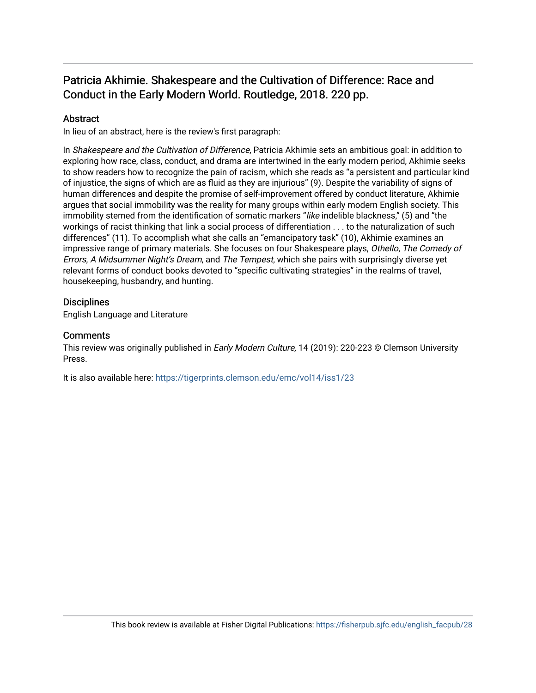# Patricia Akhimie. Shakespeare and the Cultivation of Difference: Race and Conduct in the Early Modern World. Routledge, 2018. 220 pp.

## **Abstract**

In lieu of an abstract, here is the review's first paragraph:

In Shakespeare and the Cultivation of Difference, Patricia Akhimie sets an ambitious goal: in addition to exploring how race, class, conduct, and drama are intertwined in the early modern period, Akhimie seeks to show readers how to recognize the pain of racism, which she reads as "a persistent and particular kind of injustice, the signs of which are as fluid as they are injurious" (9). Despite the variability of signs of human differences and despite the promise of self-improvement offered by conduct literature, Akhimie argues that social immobility was the reality for many groups within early modern English society. This immobility stemed from the identification of somatic markers "like indelible blackness," (5) and "the workings of racist thinking that link a social process of differentiation . . . to the naturalization of such differences" (11). To accomplish what she calls an "emancipatory task" (10), Akhimie examines an impressive range of primary materials. She focuses on four Shakespeare plays, Othello, The Comedy of Errors, A Midsummer Night's Dream, and The Tempest, which she pairs with surprisingly diverse yet relevant forms of conduct books devoted to "specific cultivating strategies" in the realms of travel, housekeeping, husbandry, and hunting.

### **Disciplines**

English Language and Literature

#### **Comments**

This review was originally published in *Early Modern Culture*, 14 (2019): 220-223 © Clemson University Press.

It is also available here: <https://tigerprints.clemson.edu/emc/vol14/iss1/23>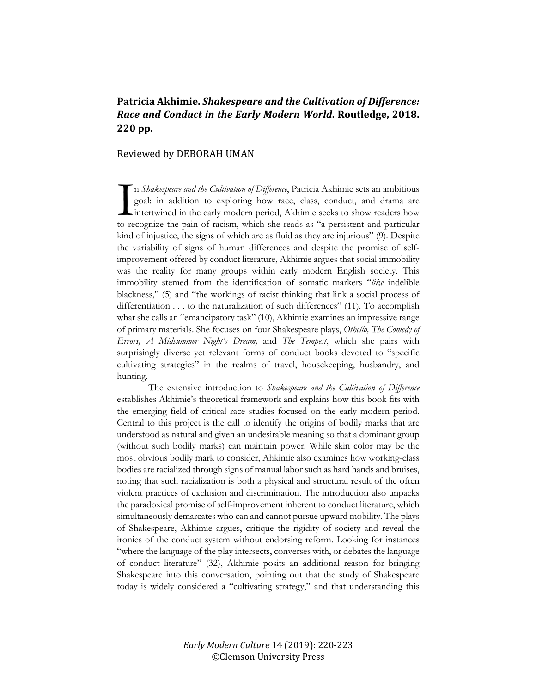## Patricia Akhimie. Shakespeare and the Cultivation of Difference: *Race and Conduct in the Early Modern World***. Routledge, 2018. 220 pp.**

#### Reviewed by DEBORAH UMAN

n *Shakespeare and the Cultivation of Difference*, Patricia Akhimie sets an ambitious goal: in addition to exploring how race, class, conduct, and drama are intertwined in the early modern period, Akhimie seeks to show readers how In *Shakespeare and the Cultivation of Difference*, Patricia Akhimie sets an ambitious goal: in addition to exploring how race, class, conduct, and drama are intertwined in the early modern period, Akhimie seeks to show re kind of injustice, the signs of which are as fluid as they are injurious" (9). Despite the variability of signs of human differences and despite the promise of selfimprovement offered by conduct literature, Akhimie argues that social immobility was the reality for many groups within early modern English society. This immobility stemed from the identification of somatic markers "*like* indelible blackness," (5) and "the workings of racist thinking that link a social process of differentiation . . . to the naturalization of such differences" (11). To accomplish what she calls an "emancipatory task" (10), Akhimie examines an impressive range of primary materials. She focuses on four Shakespeare plays, *Othello, The Comedy of Errors, A Midsummer Night's Dream,* and *The Tempest*, which she pairs with surprisingly diverse yet relevant forms of conduct books devoted to "specific cultivating strategies" in the realms of travel, housekeeping, husbandry, and hunting.

The extensive introduction to *Shakespeare and the Cultivation of Difference* establishes Akhimie's theoretical framework and explains how this book fits with the emerging field of critical race studies focused on the early modern period. Central to this project is the call to identify the origins of bodily marks that are understood as natural and given an undesirable meaning so that a dominant group (without such bodily marks) can maintain power. While skin color may be the most obvious bodily mark to consider, Ahkimie also examines how working-class bodies are racialized through signs of manual labor such as hard hands and bruises, noting that such racialization is both a physical and structural result of the often violent practices of exclusion and discrimination. The introduction also unpacks the paradoxical promise of self-improvement inherent to conduct literature, which simultaneously demarcates who can and cannot pursue upward mobility. The plays of Shakespeare, Akhimie argues, critique the rigidity of society and reveal the ironies of the conduct system without endorsing reform. Looking for instances "where the language of the play intersects, converses with, or debates the language of conduct literature" (32), Akhimie posits an additional reason for bringing Shakespeare into this conversation, pointing out that the study of Shakespeare today is widely considered a "cultivating strategy," and that understanding this

> *Early Modern Culture* 14 (2019): 220-223 ©Clemson University Press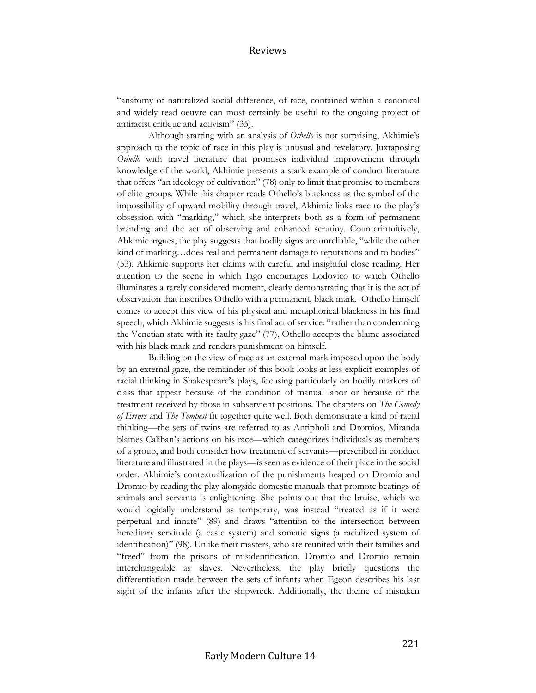#### Reviews

"anatomy of naturalized social difference, of race, contained within a canonical and widely read oeuvre can most certainly be useful to the ongoing project of antiracist critique and activism" (35).

Although starting with an analysis of *Othello* is not surprising, Akhimie's approach to the topic of race in this play is unusual and revelatory. Juxtaposing *Othello* with travel literature that promises individual improvement through knowledge of the world, Akhimie presents a stark example of conduct literature that offers "an ideology of cultivation" (78) only to limit that promise to members of elite groups. While this chapter reads Othello's blackness as the symbol of the impossibility of upward mobility through travel, Akhimie links race to the play's obsession with "marking," which she interprets both as a form of permanent branding and the act of observing and enhanced scrutiny. Counterintuitively, Ahkimie argues, the play suggests that bodily signs are unreliable, "while the other kind of marking...does real and permanent damage to reputations and to bodies" (53). Ahkimie supports her claims with careful and insightful close reading. Her attention to the scene in which Iago encourages Lodovico to watch Othello illuminates a rarely considered moment, clearly demonstrating that it is the act of observation that inscribes Othello with a permanent, black mark. Othello himself comes to accept this view of his physical and metaphorical blackness in his final speech, which Akhimie suggests is his final act of service: "rather than condemning the Venetian state with its faulty gaze" (77), Othello accepts the blame associated with his black mark and renders punishment on himself.

Building on the view of race as an external mark imposed upon the body by an external gaze, the remainder of this book looks at less explicit examples of racial thinking in Shakespeare's plays, focusing particularly on bodily markers of class that appear because of the condition of manual labor or because of the treatment received by those in subservient positions. The chapters on *The Comedy of Errors* and *The Tempest* fit together quite well. Both demonstrate a kind of racial thinking—the sets of twins are referred to as Antipholi and Dromios; Miranda blames Caliban's actions on his race—which categorizes individuals as members of a group, and both consider how treatment of servants—prescribed in conduct literature and illustrated in the plays—is seen as evidence of their place in the social order. Akhimie's contextualization of the punishments heaped on Dromio and Dromio by reading the play alongside domestic manuals that promote beatings of animals and servants is enlightening. She points out that the bruise, which we would logically understand as temporary, was instead "treated as if it were perpetual and innate" (89) and draws "attention to the intersection between hereditary servitude (a caste system) and somatic signs (a racialized system of identification)" (98). Unlike their masters, who are reunited with their families and "freed" from the prisons of misidentification, Dromio and Dromio remain interchangeable as slaves. Nevertheless, the play briefly questions the differentiation made between the sets of infants when Egeon describes his last sight of the infants after the shipwreck. Additionally, the theme of mistaken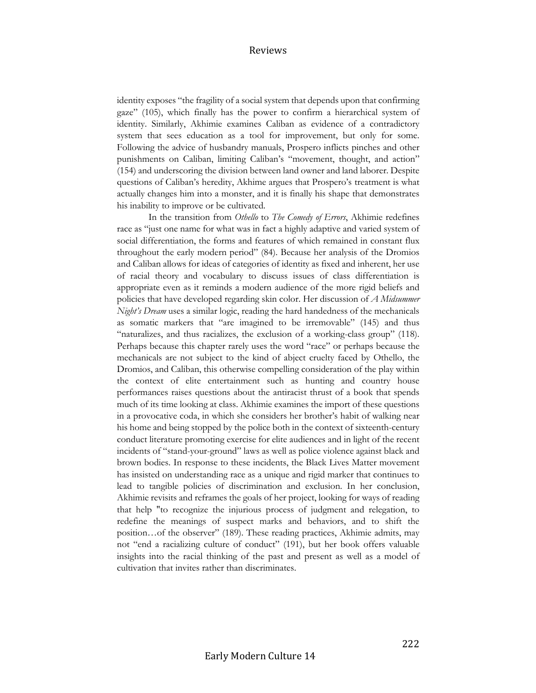#### Reviews

identity exposes "the fragility of a social system that depends upon that confirming gaze" (105), which finally has the power to confirm a hierarchical system of identity. Similarly, Akhimie examines Caliban as evidence of a contradictory system that sees education as a tool for improvement, but only for some. Following the advice of husbandry manuals, Prospero inflicts pinches and other punishments on Caliban, limiting Caliban's "movement, thought, and action" (154) and underscoring the division between land owner and land laborer. Despite questions of Caliban's heredity, Akhime argues that Prospero's treatment is what actually changes him into a monster, and it is finally his shape that demonstrates his inability to improve or be cultivated.

In the transition from *Othello* to *The Comedy of Errors*, Akhimie redefines race as "just one name for what was in fact a highly adaptive and varied system of social differentiation, the forms and features of which remained in constant flux throughout the early modern period" (84). Because her analysis of the Dromios and Caliban allows for ideas of categories of identity as fixed and inherent, her use of racial theory and vocabulary to discuss issues of class differentiation is appropriate even as it reminds a modern audience of the more rigid beliefs and policies that have developed regarding skin color. Her discussion of *A Midsummer Night's Dream* uses a similar logic, reading the hard handedness of the mechanicals as somatic markers that "are imagined to be irremovable" (145) and thus "naturalizes, and thus racializes, the exclusion of a working-class group" (118). Perhaps because this chapter rarely uses the word "race" or perhaps because the mechanicals are not subject to the kind of abject cruelty faced by Othello, the Dromios, and Caliban, this otherwise compelling consideration of the play within the context of elite entertainment such as hunting and country house performances raises questions about the antiracist thrust of a book that spends much of its time looking at class. Akhimie examines the import of these questions in a provocative coda, in which she considers her brother's habit of walking near his home and being stopped by the police both in the context of sixteenth-century conduct literature promoting exercise for elite audiences and in light of the recent incidents of "stand-your-ground" laws as well as police violence against black and brown bodies. In response to these incidents, the Black Lives Matter movement has insisted on understanding race as a unique and rigid marker that continues to lead to tangible policies of discrimination and exclusion. In her conclusion, Akhimie revisits and reframes the goals of her project, looking for ways of reading that help "to recognize the injurious process of judgment and relegation, to redefine the meanings of suspect marks and behaviors, and to shift the position…of the observer" (189). These reading practices, Akhimie admits, may not "end a racializing culture of conduct" (191), but her book offers valuable insights into the racial thinking of the past and present as well as a model of cultivation that invites rather than discriminates.